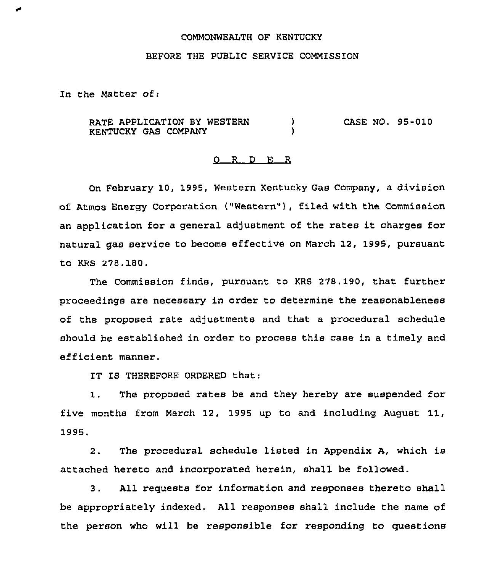#### COMMONWEALTH OF KENTUCKY

### BEFORE THE PUBLIC SERVICE COMMISSION

In the Matter of:

RATE APPLICATION BY WESTERN  $\mathcal{Y}$ CASE NO. 95-010 KENTUCKY GAS COMPANY A,

## 0 R <sup>D</sup> E R

On February 10, 1995, Western Kentucky Gas Company, a division of Atmos Energy Corporation ("Western"), filed with the Commission an application for a general adjustment of the rates it charges for natural gas service to become effective on March 12, 1995, pursuant to KRS 278.180.

The Commission finds, pursuant to KRS 278. 190, that further proceedings are necessary in order to determine the reasonableness of the proposed rate adjustments and that a procedural schedule should be established in order to process this case in a timely and efficient manner .

IT IS THEREFORE ORDERED that:

The proposed rates be and they hereby are suspended for  $1.$ five months from March 12, 1995 up to and including August 11, 1995.

2. The procedural schedule listed in Appendix A, which is attached hereto and incorporated herein, shall be followed.

3. All requests for information and responses thereto shall be appropriately indexed. All responses shall include the name of the person who will be responsible for responding to questions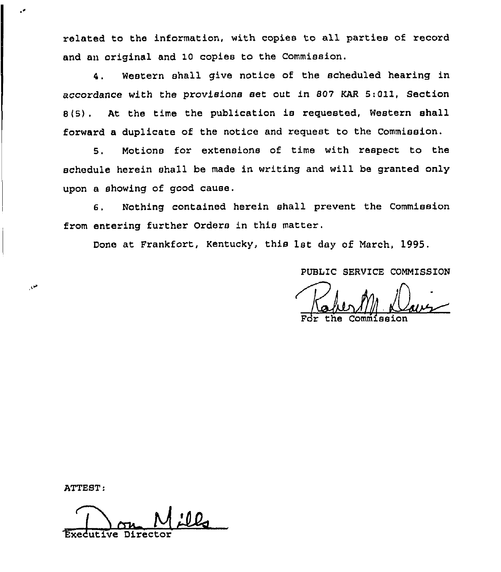related to the information, with copies to all parties of record and an original and 10 copies to the Commission.

4. western shall give notice of the scheduled hearing in accordance with the provisions set out in 807 KAR 5:011, Section 8(5) . At the time the publication is requested, Western shall forward a duplicate of the notice and request to the Commission.

8. Motions for extensions of time with respect to the schedule herein shall be made in writing and will be granted only upon a showing of good cause.

6. Nothing contained herein shall prevent the Commission from entering further Orders in this matter.

Done at Frankfort, Kentucky, this 1st day of March, 1995.

PUBLIC SERVICE COMMISSION

Takert  $\underbrace{\mathcal{L}}$ 

For the Commissio

ATTEST:

من

din kalendaryo dan kalendaryo dan kalendaryo dan kalendaryo dan kalendaryo dan kalendaryo dan akas dan akas ar<br>Disebias dan kalendaryo dan kalendaryo dan kalendaryo dan kalendaryo dan kalendaryo dan kalendaryo dan kalenda Executive Director